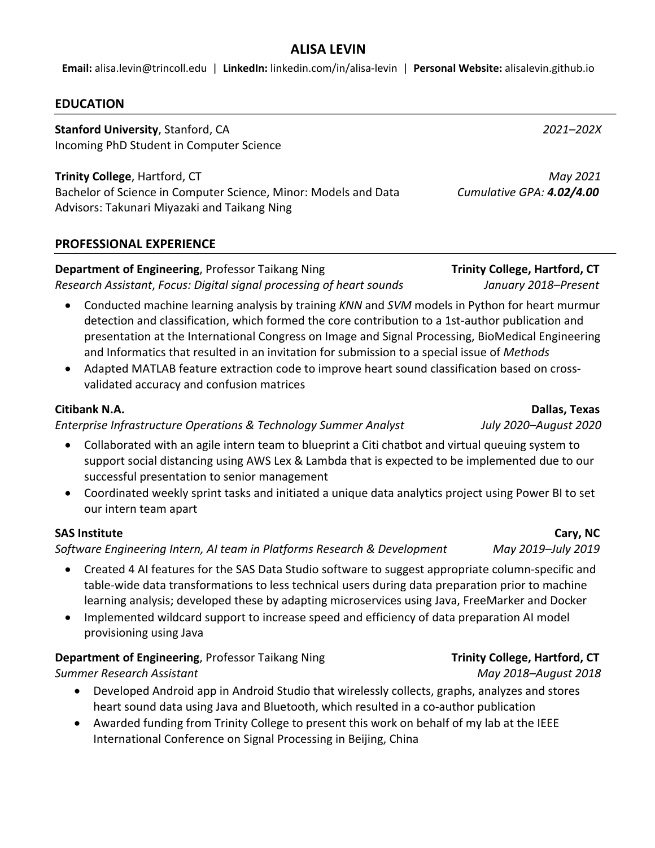# **ALISA LEVIN**

**Email:** alisa.levin@trincoll.edu | **LinkedIn:** linkedin.com/in/alisa-levin | **Personal Website:** alisalevin.github.io

#### **EDUCATION**

**Stanford University**, Stanford, CA *2021–202X* Incoming PhD Student in Computer Science

**Trinity College**, Hartford, CT *May 2021* Bachelor of Science in Computer Science, Minor: Models and Data *Cumulative GPA: 4.02/4.00* Advisors: Takunari Miyazaki and Taikang Ning

## **PROFESSIONAL EXPERIENCE**

# **Department of Engineering**, Professor Taikang Ning **Trinity College, Hartford, CT**

*Research Assistant*, *Focus: Digital signal processing of heart sounds January 2018–Present*

- Conducted machine learning analysis by training *KNN* and *SVM* models in Python for heart murmur detection and classification, which formed the core contribution to a 1st-author publication and presentation at the International Congress on Image and Signal Processing, BioMedical Engineering and Informatics that resulted in an invitation for submission to a special issue of *Methods*
- Adapted MATLAB feature extraction code to improve heart sound classification based on crossvalidated accuracy and confusion matrices

## **Citibank N.A. Dallas, Texas**

*Enterprise Infrastructure Operations & Technology Summer Analyst July 2020–August 2020*

- Collaborated with an agile intern team to blueprint a Citi chatbot and virtual queuing system to support social distancing using AWS Lex & Lambda that is expected to be implemented due to our successful presentation to senior management
- Coordinated weekly sprint tasks and initiated a unique data analytics project using Power BI to set our intern team apart

## **SAS Institute Cary, NC**

*Software Engineering Intern, AI team in Platforms Research & Development May 2019–July 2019*

- Created 4 AI features for the SAS Data Studio software to suggest appropriate column-specific and table-wide data transformations to less technical users during data preparation prior to machine learning analysis; developed these by adapting microservices using Java, FreeMarker and Docker
- Implemented wildcard support to increase speed and efficiency of data preparation AI model provisioning using Java

## **Department of Engineering**, Professor Taikang Ning **Trinity College, Hartford, CT**

*Summer Research Assistant May 2018–August 2018*

- Developed Android app in Android Studio that wirelessly collects, graphs, analyzes and stores heart sound data using Java and Bluetooth, which resulted in a co-author publication
- Awarded funding from Trinity College to present this work on behalf of my lab at the IEEE International Conference on Signal Processing in Beijing, China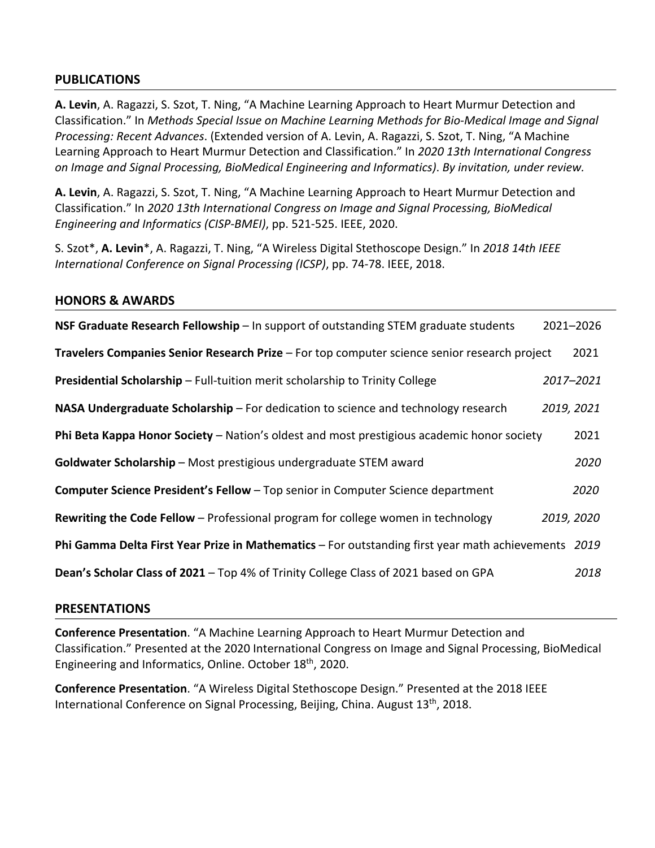## **PUBLICATIONS**

**A. Levin**, A. Ragazzi, S. Szot, T. Ning, "A Machine Learning Approach to Heart Murmur Detection and Classification." In *Methods Special Issue on Machine Learning Methods for Bio-Medical Image and Signal Processing: Recent Advances*. (Extended version of A. Levin, A. Ragazzi, S. Szot, T. Ning, "A Machine Learning Approach to Heart Murmur Detection and Classification." In *2020 13th International Congress on Image and Signal Processing, BioMedical Engineering and Informatics)*. *By invitation, under review.*

**A. Levin**, A. Ragazzi, S. Szot, T. Ning, "A Machine Learning Approach to Heart Murmur Detection and Classification." In *2020 13th International Congress on Image and Signal Processing, BioMedical Engineering and Informatics (CISP-BMEI)*, pp. 521-525. IEEE, 2020.

S. Szot\*, **A. Levin**\*, A. Ragazzi, T. Ning, "A Wireless Digital Stethoscope Design." In *2018 14th IEEE International Conference on Signal Processing (ICSP)*, pp. 74-78. IEEE, 2018.

#### **HONORS & AWARDS**

| NSF Graduate Research Fellowship - In support of outstanding STEM graduate students                 |            | 2021-2026 |
|-----------------------------------------------------------------------------------------------------|------------|-----------|
| Travelers Companies Senior Research Prize - For top computer science senior research project        |            | 2021      |
| Presidential Scholarship - Full-tuition merit scholarship to Trinity College                        | 2017-2021  |           |
| NASA Undergraduate Scholarship – For dedication to science and technology research                  | 2019, 2021 |           |
| Phi Beta Kappa Honor Society - Nation's oldest and most prestigious academic honor society          |            | 2021      |
| Goldwater Scholarship - Most prestigious undergraduate STEM award                                   |            | 2020      |
| Computer Science President's Fellow - Top senior in Computer Science department                     |            | 2020      |
| Rewriting the Code Fellow - Professional program for college women in technology                    | 2019, 2020 |           |
| Phi Gamma Delta First Year Prize in Mathematics - For outstanding first year math achievements 2019 |            |           |
| Dean's Scholar Class of 2021 - Top 4% of Trinity College Class of 2021 based on GPA                 |            | 2018      |

## **PRESENTATIONS**

**Conference Presentation**. "A Machine Learning Approach to Heart Murmur Detection and Classification." Presented at the 2020 International Congress on Image and Signal Processing, BioMedical Engineering and Informatics, Online. October 18th, 2020.

**Conference Presentation**. "A Wireless Digital Stethoscope Design." Presented at the 2018 IEEE International Conference on Signal Processing, Beijing, China. August 13<sup>th</sup>, 2018.